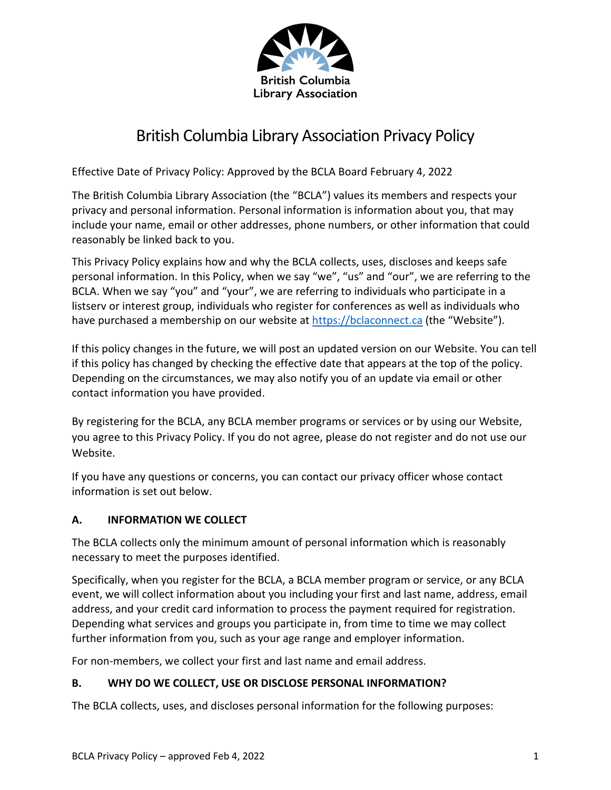

# British Columbia Library Association Privacy Policy

Effective Date of Privacy Policy: Approved by the BCLA Board February 4, 2022

The British Columbia Library Association (the "BCLA") values its members and respects your privacy and personal information. Personal information is information about you, that may include your name, email or other addresses, phone numbers, or other information that could reasonably be linked back to you.

This Privacy Policy explains how and why the BCLA collects, uses, discloses and keeps safe personal information. In this Policy, when we say "we", "us" and "our", we are referring to the BCLA. When we say "you" and "your", we are referring to individuals who participate in a listserv or interest group, individuals who register for conferences as well as individuals who have purchased a membership on our website at [https://bclaconnect.ca](https://bclaconnect.ca/) (the "Website").

If this policy changes in the future, we will post an updated version on our Website. You can tell if this policy has changed by checking the effective date that appears at the top of the policy. Depending on the circumstances, we may also notify you of an update via email or other contact information you have provided.

By registering for the BCLA, any BCLA member programs or services or by using our Website, you agree to this Privacy Policy. If you do not agree, please do not register and do not use our Website.

If you have any questions or concerns, you can contact our privacy officer whose contact information is set out below.

## **A. INFORMATION WE COLLECT**

The BCLA collects only the minimum amount of personal information which is reasonably necessary to meet the purposes identified.

Specifically, when you register for the BCLA, a BCLA member program or service, or any BCLA event, we will collect information about you including your first and last name, address, email address, and your credit card information to process the payment required for registration. Depending what services and groups you participate in, from time to time we may collect further information from you, such as your age range and employer information.

For non-members, we collect your first and last name and email address.

## **B. WHY DO WE COLLECT, USE OR DISCLOSE PERSONAL INFORMATION?**

The BCLA collects, uses, and discloses personal information for the following purposes: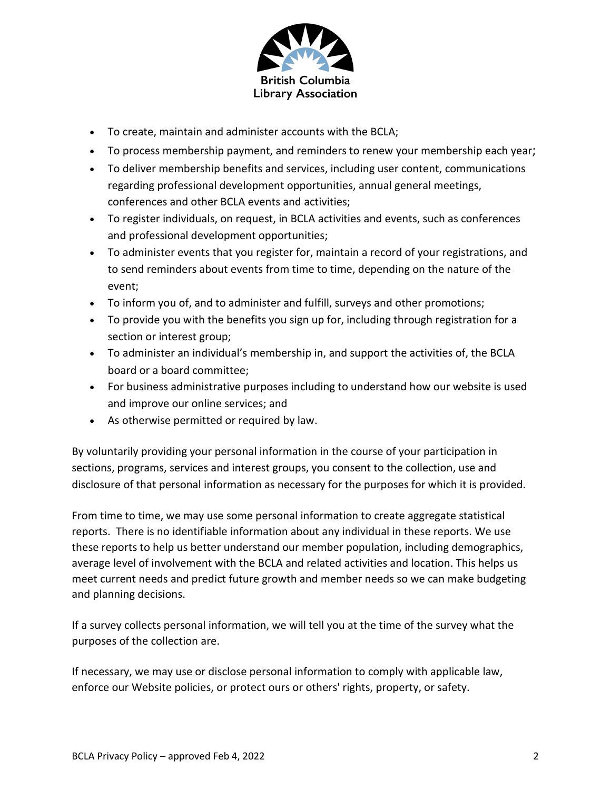

- To create, maintain and administer accounts with the BCLA;
- To process membership payment, and reminders to renew your membership each year;
- To deliver membership benefits and services, including user content, communications regarding professional development opportunities, annual general meetings, conferences and other BCLA events and activities;
- To register individuals, on request, in BCLA activities and events, such as conferences and professional development opportunities;
- To administer events that you register for, maintain a record of your registrations, and to send reminders about events from time to time, depending on the nature of the event;
- To inform you of, and to administer and fulfill, surveys and other promotions;
- To provide you with the benefits you sign up for, including through registration for a section or interest group;
- To administer an individual's membership in, and support the activities of, the BCLA board or a board committee;
- For business administrative purposes including to understand how our website is used and improve our online services; and
- As otherwise permitted or required by law.

By voluntarily providing your personal information in the course of your participation in sections, programs, services and interest groups, you consent to the collection, use and disclosure of that personal information as necessary for the purposes for which it is provided.

From time to time, we may use some personal information to create aggregate statistical reports. There is no identifiable information about any individual in these reports. We use these reports to help us better understand our member population, including demographics, average level of involvement with the BCLA and related activities and location. This helps us meet current needs and predict future growth and member needs so we can make budgeting and planning decisions.

If a survey collects personal information, we will tell you at the time of the survey what the purposes of the collection are.

If necessary, we may use or disclose personal information to comply with applicable law, enforce our Website policies, or protect ours or others' rights, property, or safety.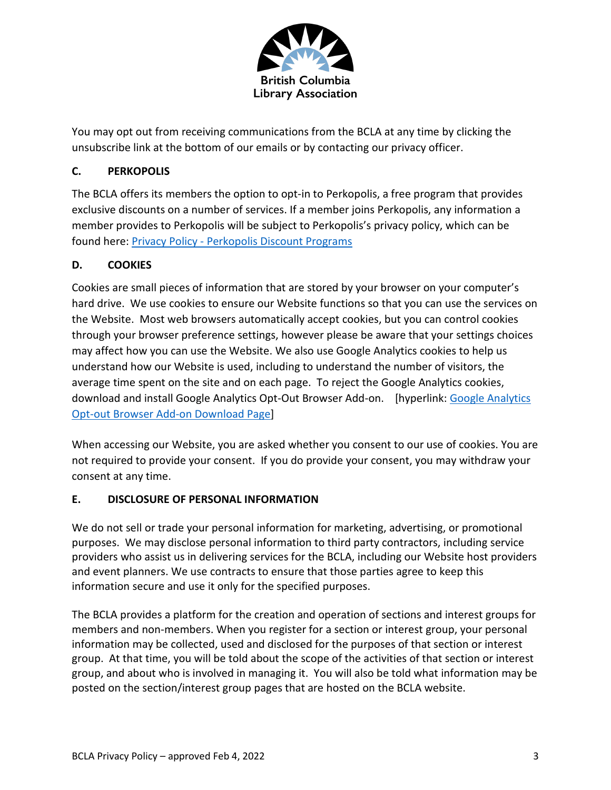

You may opt out from receiving communications from the BCLA at any time by clicking the unsubscribe link at the bottom of our emails or by contacting our privacy officer.

## **C. PERKOPOLIS**

The BCLA offers its members the option to opt-in to Perkopolis, a free program that provides exclusive discounts on a number of services. If a member joins Perkopolis, any information a member provides to Perkopolis will be subject to Perkopolis's privacy policy, which can be found here: Privacy Policy - [Perkopolis Discount Programs](http://corporate.perkopolis.com/privacy-policy/)

# **D. COOKIES**

Cookies are small pieces of information that are stored by your browser on your computer's hard drive. We use cookies to ensure our Website functions so that you can use the services on the Website. Most web browsers automatically accept cookies, but you can control cookies through your browser preference settings, however please be aware that your settings choices may affect how you can use the Website. We also use Google Analytics cookies to help us understand how our Website is used, including to understand the number of visitors, the average time spent on the site and on each page. To reject the Google Analytics cookies, download and install Google Analytics Opt-Out Browser Add-on. [hyperlink: [Google Analytics](https://tools.google.com/dlpage/gaoptout)  [Opt-out Browser Add-on Download Page\]](https://tools.google.com/dlpage/gaoptout)

When accessing our Website, you are asked whether you consent to our use of cookies. You are not required to provide your consent. If you do provide your consent, you may withdraw your consent at any time.

## **E. DISCLOSURE OF PERSONAL INFORMATION**

We do not sell or trade your personal information for marketing, advertising, or promotional purposes. We may disclose personal information to third party contractors, including service providers who assist us in delivering services for the BCLA, including our Website host providers and event planners. We use contracts to ensure that those parties agree to keep this information secure and use it only for the specified purposes.

The BCLA provides a platform for the creation and operation of sections and interest groups for members and non-members. When you register for a section or interest group, your personal information may be collected, used and disclosed for the purposes of that section or interest group. At that time, you will be told about the scope of the activities of that section or interest group, and about who is involved in managing it. You will also be told what information may be posted on the section/interest group pages that are hosted on the BCLA website.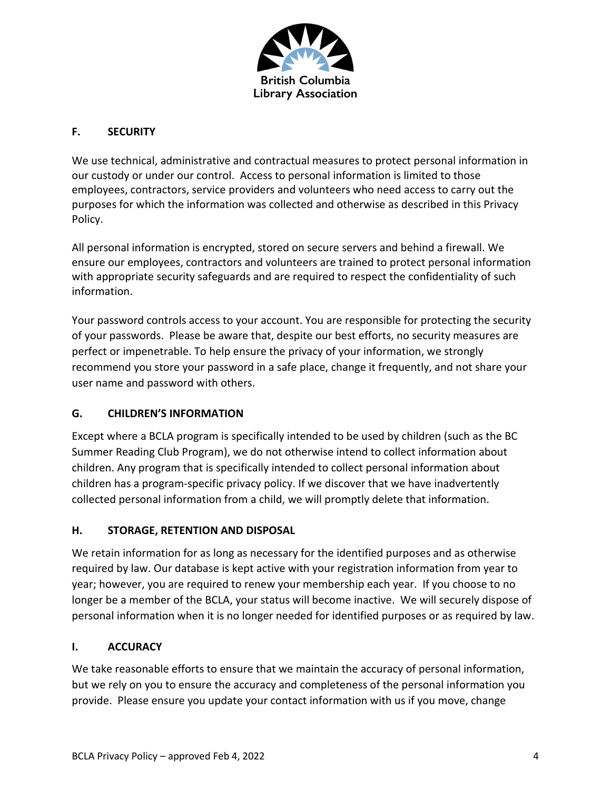

# **F. SECURITY**

We use technical, administrative and contractual measures to protect personal information in our custody or under our control. Access to personal information is limited to those employees, contractors, service providers and volunteers who need access to carry out the purposes for which the information was collected and otherwise as described in this Privacy Policy.

All personal information is encrypted, stored on secure servers and behind a firewall. We ensure our employees, contractors and volunteers are trained to protect personal information with appropriate security safeguards and are required to respect the confidentiality of such information.

Your password controls access to your account. You are responsible for protecting the security of your passwords. Please be aware that, despite our best efforts, no security measures are perfect or impenetrable. To help ensure the privacy of your information, we strongly recommend you store your password in a safe place, change it frequently, and not share your user name and password with others.

# **G. CHILDREN'S INFORMATION**

Except where a BCLA program is specifically intended to be used by children (such as the BC Summer Reading Club Program), we do not otherwise intend to collect information about children. Any program that is specifically intended to collect personal information about children has a program-specific privacy policy. If we discover that we have inadvertently collected personal information from a child, we will promptly delete that information.

## **H. STORAGE, RETENTION AND DISPOSAL**

We retain information for as long as necessary for the identified purposes and as otherwise required by law. Our database is kept active with your registration information from year to year; however, you are required to renew your membership each year. If you choose to no longer be a member of the BCLA, your status will become inactive. We will securely dispose of personal information when it is no longer needed for identified purposes or as required by law.

## **I. ACCURACY**

We take reasonable efforts to ensure that we maintain the accuracy of personal information, but we rely on you to ensure the accuracy and completeness of the personal information you provide. Please ensure you update your contact information with us if you move, change